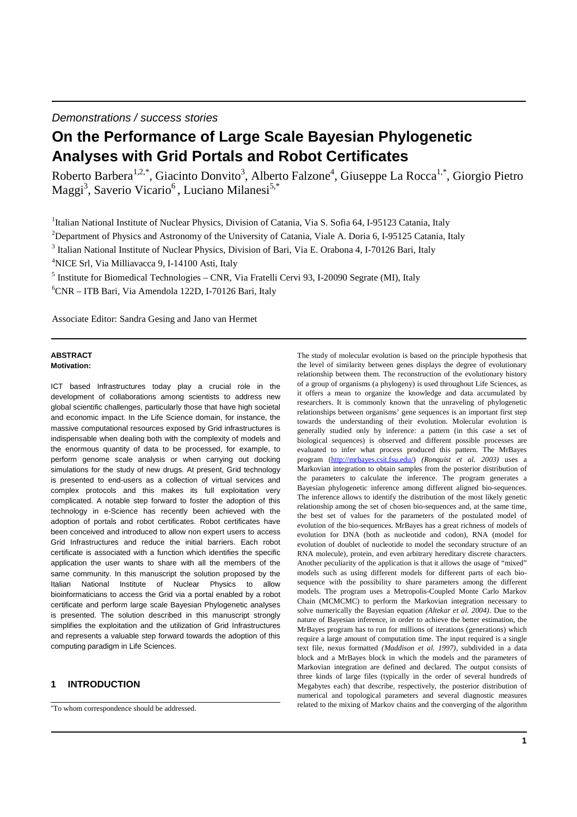Demonstrations / success stories

# **On the Performance of Large Scale Bayesian Phylogenetic Analyses with Grid Portals and Robot Certificates**

Roberto Barbera<sup>1,2,\*</sup>, Giacinto Donvito<sup>3</sup>, Alberto Falzone<sup>4</sup>, Giuseppe La Rocca<sup>1,\*</sup>, Giorgio Pietro Maggi<sup>3</sup>, Saverio Vicario<sup>6</sup>, Luciano Milanesi<sup>5,\*</sup>

<sup>1</sup>Italian National Institute of Nuclear Physics, Division of Catania, Via S. Sofia 64, I-95123 Catania, Italy

<sup>2</sup>Department of Physics and Astronomy of the University of Catania, Viale A. Doria 6, I-95125 Catania, Italy

<sup>3</sup> Italian National Institute of Nuclear Physics, Division of Bari, Via E. Orabona 4, I-70126 Bari, Italy

<sup>4</sup>NICE Srl, Via Milliavacca 9, I-14100 Asti, Italy

<sup>5</sup> Institute for Biomedical Technologies - CNR, Via Fratelli Cervi 93, I-20090 Segrate (MI), Italy

 ${}^{6}CNR - ITB$  Bari, Via Amendola 122D, I-70126 Bari, Italy

Associate Editor: Sandra Gesing and Jano van Hermet

#### **ABSTRACT Motivation:**

ICT based Infrastructures today play a crucial role in the development of collaborations among scientists to address new global scientific challenges, particularly those that have high societal and economic impact. In the Life Science domain, for instance, the massive computational resources exposed by Grid infrastructures is indispensable when dealing both with the complexity of models and the enormous quantity of data to be processed, for example, to perform genome scale analysis or when carrying out docking simulations for the study of new drugs. At present, Grid technology is presented to end-users as a collection of virtual services and complex protocols and this makes its full exploitation very complicated. A notable step forward to foster the adoption of this technology in e-Science has recently been achieved with the adoption of portals and robot certificates. Robot certificates have been conceived and introduced to allow non expert users to access Grid Infrastructures and reduce the initial barriers. Each robot certificate is associated with a function which identifies the specific application the user wants to share with all the members of the same community. In this manuscript the solution proposed by the Italian National Institute of Nuclear Physics to allow bioinformaticians to access the Grid via a portal enabled by a robot certificate and perform large scale Bayesian Phylogenetic analyses is presented. The solution described in this manuscript strongly simplifies the exploitation and the utilization of Grid Infrastructures and represents a valuable step forward towards the adoption of this computing paradigm in Life Sciences.

## **1 INTRODUCTION**

The study of molecular evolution is based on the principle hypothesis that the level of similarity between genes displays the degree of evolutionary relationship between them. The reconstruction of the evolutionary history of a group of organisms (a phylogeny) is used throughout Life Sciences, as it offers a mean to organize the knowledge and data accumulated by researchers. It is commonly known that the unraveling of phylogenetic relationships between organisms' gene sequences is an important first step towards the understanding of their evolution. Molecular evolution is generally studied only by inference: a pattern (in this case a set of biological sequences) is observed and different possible processes are evaluated to infer what process produced this pattern. The MrBayes program (http://mrbayes.csit.fsu.edu/) *(Ronquist et al. 2003)* uses a Markovian integration to obtain samples from the posterior distribution of the parameters to calculate the inference. The program generates a Bayesian phylogenetic inference among different aligned bio-sequences. The inference allows to identify the distribution of the most likely genetic relationship among the set of chosen bio-sequences and, at the same time, the best set of values for the parameters of the postulated model of evolution of the bio-sequences. MrBayes has a great richness of models of evolution for DNA (both as nucleotide and codon), RNA (model for evolution of doublet of nucleotide to model the secondary structure of an RNA molecule), protein, and even arbitrary hereditary discrete characters. Another peculiarity of the application is that it allows the usage of "mixed" models such as using different models for different parts of each biosequence with the possibility to share parameters among the different models. The program uses a Metropolis-Coupled Monte Carlo Markov Chain (MCMCMC) to perform the Markovian integration necessary to solve numerically the Bayesian equation *(Altekar et al. 2004)*. Due to the nature of Bayesian inference, in order to achieve the better estimation, the MrBayes program has to run for millions of iterations (generations) which require a large amount of computation time. The input required is a single text file, nexus formatted *(Maddison et al. 1997)*, subdivided in a data block and a MrBayes block in which the models and the parameters of Markovian integration are defined and declared. The output consists of three kinds of large files (typically in the order of several hundreds of Megabytes each) that describe, respectively, the posterior distribution of numerical and topological parameters and several diagnostic measures related to the mixing of Markov chains and the converging of the algorithm

<sup>\*</sup>To whom correspondence should be addressed.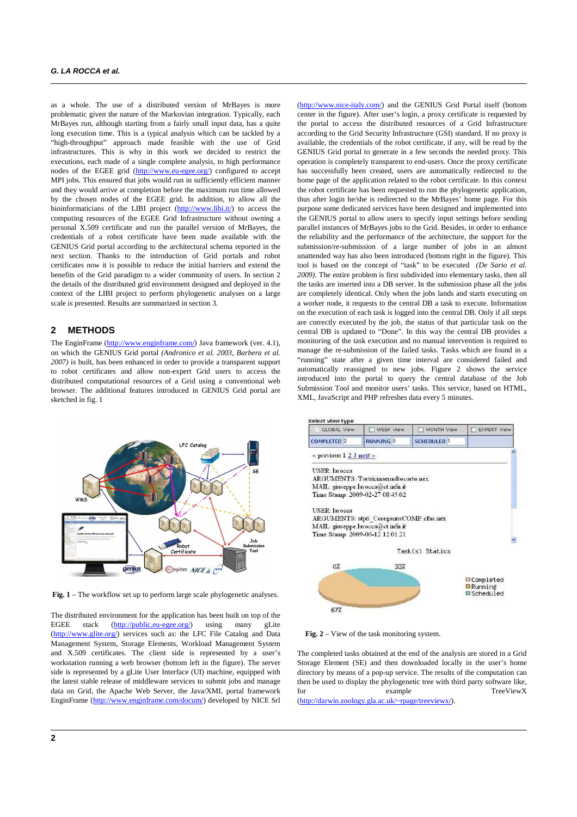as a whole. The use of a distributed version of MrBayes is more problematic given the nature of the Markovian integration. Typically, each MrBayes run, although starting from a fairly small input data, has a quite long execution time. This is a typical analysis which can be tackled by a "high-throughput" approach made feasible with the use of Grid infrastructures. This is why in this work we decided to restrict the executions, each made of a single complete analysis, to high performance nodes of the EGEE grid (http://www.eu-egee.org/) configured to accept MPI jobs. This ensured that jobs would run in sufficiently efficient manner and they would arrive at completion before the maximum run time allowed by the chosen nodes of the EGEE grid. In addition, to allow all the bioinformaticians of the LIBI project (http://www.libi.it/) to access the computing resources of the EGEE Grid Infrastructure without owning a personal X.509 certificate and run the parallel version of MrBayes, the credentials of a robot certificate have been made available with the GENIUS Grid portal according to the architectural schema reported in the next section. Thanks to the introduction of Grid portals and robot certificates now it is possible to reduce the initial barriers and extend the benefits of the Grid paradigm to a wider community of users. In section 2 the details of the distributed grid environment designed and deployed in the context of the LIBI project to perform phylogenetic analyses on a large scale is presented. Results are summarized in section 3.

#### **2 METHODS**

The EnginFrame (http://www.enginframe.com/) Java framework (ver. 4.1), on which the GENIUS Grid portal *(Andronico et al. 2003, Barbera et al. 2007)* is built, has been enhanced in order to provide a transparent support to robot certificates and allow non-expert Grid users to access the distributed computational resources of a Grid using a conventional web browser. The additional features introduced in GENIUS Grid portal are sketched in fig. 1



**Fig. 1** – The workflow set up to perform large scale phylogenetic analyses.

The distributed environment for the application has been built on top of the EGEE stack (http://public.eu-egee.org/) using many gLite (http://www.glite.org/) services such as: the LFC File Catalog and Data Management System, Storage Elements, Workload Management System and X.509 certificates. The client side is represented by a user's workstation running a web browser (bottom left in the figure). The server side is represented by a gLite User Interface (UI) machine, equipped with the latest stable release of middleware services to submit jobs and manage data on Grid, the Apache Web Server, the Java/XML portal framework EnginFrame (http://www.enginframe.com/docum/) developed by NICE Srl

(http://www.nice-italy.com/) and the GENIUS Grid Portal itself (bottom center in the figure). After user's login, a proxy certificate is requested by the portal to access the distributed resources of a Grid Infrastructure according to the Grid Security Infrastructure (GSI) standard. If no proxy is available, the credentials of the robot certificate, if any, will be read by the GENIUS Grid portal to generate in a few seconds the needed proxy. This operation is completely transparent to end-users. Once the proxy certificate has successfully been created, users are automatically redirected to the home page of the application related to the robot certificate. In this context the robot certificate has been requested to run the phylogenetic application, thus after login he/she is redirected to the MrBayes' home page. For this purpose some dedicated services have been designed and implemented into the GENIUS portal to allow users to specify input settings before sending parallel instances of MrBayes jobs to the Grid. Besides, in order to enhance the reliability and the performance of the architecture, the support for the submission/re-submission of a large number of jobs in an almost unattended way has also been introduced (bottom right in the figure). This tool is based on the concept of "task" to be executed *(De Sario et al. 2009)*. The entire problem is first subdivided into elementary tasks, then all the tasks are inserted into a DB server. In the submission phase all the jobs are completely identical. Only when the jobs lands and starts executing on a worker node, it requests to the central DB a task to execute. Information on the execution of each task is logged into the central DB. Only if all steps are correctly executed by the job, the status of that particular task on the central DB is updated to "Done". In this way the central DB provides a monitoring of the task execution and no manual intervention is required to manage the re-submission of the failed tasks. Tasks which are found in a "running" state after a given time interval are considered failed and automatically reassigned to new jobs. Figure 2 shows the service introduced into the portal to query the central database of the Job Submission Tool and monitor users' tasks. This service, based on HTML, XML, JavaScript and PHP refreshes data every 5 minutes.



**Fig. 2** – View of the task monitoring system.

The completed tasks obtained at the end of the analysis are stored in a Grid Storage Element (SE) and then downloaded locally in the user's home directory by means of a pop-up service. The results of the computation can then be used to display the phylogenetic tree with third party software like, example TreeViewX (http://darwin.zoology.gla.ac.uk/~rpage/treeviewx/).